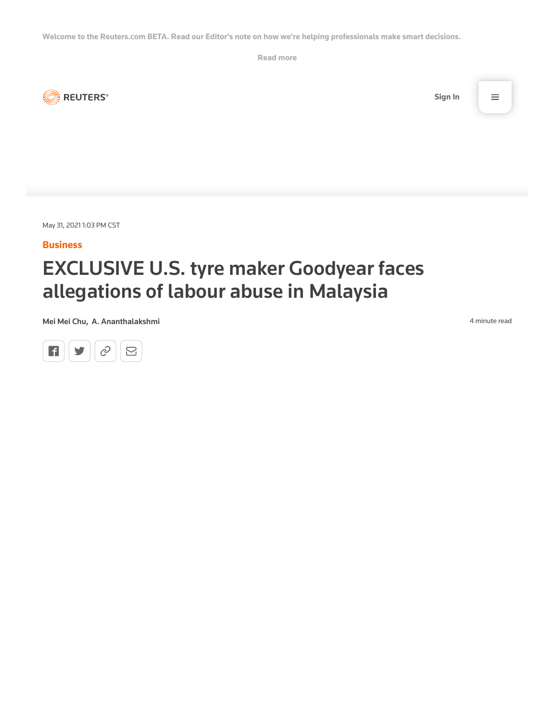Welcome to the Reuters.com BETA. Read our Editor's note on how we're helping professionals make smart decisions.

**[Read](https://www.reutersagency.com/en/media-center/welcome-to-the-new-reuters-com/) more**



**[Sign](https://www.reuters.com/signin/?redirect=true) In**

 $\equiv$ 

May 31, 2021 1:03 PM CST

#### **[Business](https://www.reuters.com/business)**

# EXCLUSIVE U.S. tyre maker Goodyear faces allegations of labour abuse in Malaysia

Mei Mei Chu, A. Ananthalakshmi 4 minute read

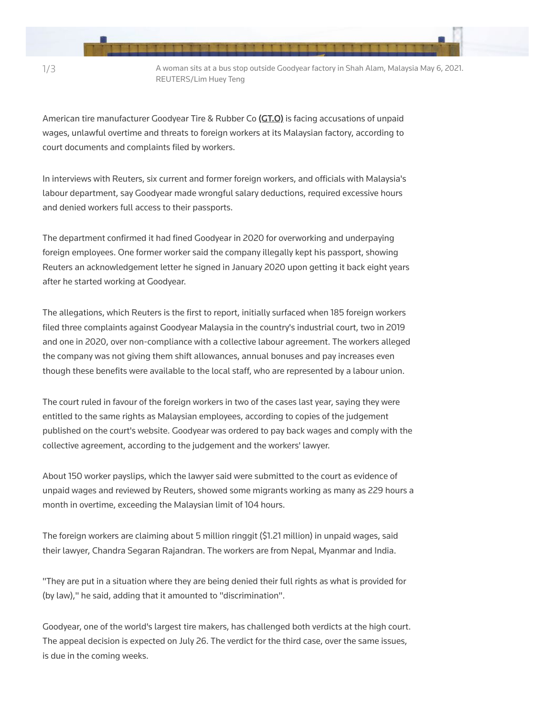

1/3 A woman sits at a bus stop outside Goodyear factory in Shah Alam, Malaysia May 6, 2021. REUTERS/Lim Huey Teng

American tire manufacturer Goodyear Tire & Rubber Co (CT.O) is facing accusations of unpaid wages, unlawful overtime and threats to foreign workers at its Malaysian factory, according to court documents and complaints filed by workers.

In interviews with Reuters, six current and former foreign workers, and officials with Malaysia's labour department, say Goodyear made wrongful salary deductions, required excessive hours and denied workers full access to their passports.

The department confirmed it had fined Goodyear in 2020 for overworking and underpaying foreign employees. One former worker said the company illegally kept his passport, showing Reuters an acknowledgement letter he signed in January 2020 upon getting it back eight years after he started working at Goodyear.

The allegations, which Reuters is the first to report, initially surfaced when 185 foreign workers filed three complaints against Goodyear Malaysia in the country's industrial court, two in 2019 and one in 2020, over non-compliance with a collective labour agreement. The workers alleged the company was not giving them shift allowances, annual bonuses and pay increases even though these benefits were available to the local staff, who are represented by a labour union.

The court ruled in favour of the foreign workers in two of the cases last year, saying they were entitled to the same rights as Malaysian employees, according to copies of the judgement published on the court's website. Goodyear was ordered to pay back wages and comply with the collective agreement, according to the judgement and the workers' lawyer.

About 150 worker payslips, which the lawyer said were submitted to the court as evidence of unpaid wages and reviewed by Reuters, showed some migrants working as many as 229 hours a month in overtime, exceeding the Malaysian limit of 104 hours.

The foreign workers are claiming about 5 million ringgit (\$1.21 million) in unpaid wages, said their lawyer, Chandra Segaran Rajandran. The workers are from Nepal, Myanmar and India.

"They are put in a situation where they are being denied their full rights as what is provided for (by law)," he said, adding that it amounted to "discrimination".

Goodyear, one of the world's largest tire makers, has challenged both verdicts at the high court. The appeal decision is expected on July 26. The verdict for the third case, over the same issues, is due in the coming weeks.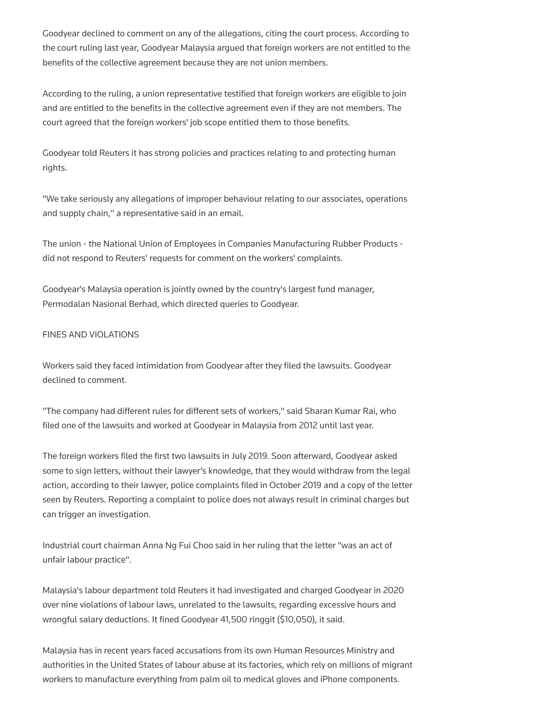Goodyear declined to comment on any of the allegations, citing the court process. According to the court ruling last year, Goodyear Malaysia argued that foreign workers are not entitled to the benefits of the collective agreement because they are not union members.

According to the ruling, a union representative testified that foreign workers are eligible to join and are entitled to the benefits in the collective agreement even if they are not members. The court agreed that the foreign workers' job scope entitled them to those benefits.

Goodyear told Reuters it has strong policies and practices relating to and protecting human rights.

"We take seriously any allegations of improper behaviour relating to our associates, operations and supply chain," a representative said in an email.

The union - the National Union of Employees in Companies Manufacturing Rubber Products did not respond to Reuters' requests for comment on the workers' complaints.

Goodyear's Malaysia operation is jointly owned by the country's largest fund manager, Permodalan Nasional Berhad, which directed queries to Goodyear.

# FINES AND VIOLATIONS

Workers said they faced intimidation from Goodyear after they filed the lawsuits. Goodyear declined to comment.

"The company had different rules for different sets of workers," said Sharan Kumar Rai, who filed one of the lawsuits and worked at Goodyear in Malaysia from 2012 until last year.

The foreign workers filed the first two lawsuits in July 2019. Soon afterward, Goodyear asked some to sign letters, without their lawyer's knowledge, that they would withdraw from the legal action, according to their lawyer, police complaints filed in October 2019 and a copy of the letter seen by Reuters. Reporting a complaint to police does not always result in criminal charges but can trigger an investigation.

Industrial court chairman Anna Ng Fui Choo said in her ruling that the letter "was an act of unfair labour practice".

Malaysia's labour department told Reuters it had investigated and charged Goodyear in 2020 over nine violations of labour laws, unrelated to the lawsuits, regarding excessive hours and wrongful salary deductions. It fined Goodyear 41,500 ringgit (\$10,050), it said.

Malaysia has in recent years faced accusations from its own Human Resources Ministry and authorities in the United States of labour abuse at its factories, which rely on millions of migrant workers to manufacture everything from palm oil to medical gloves and iPhone components.